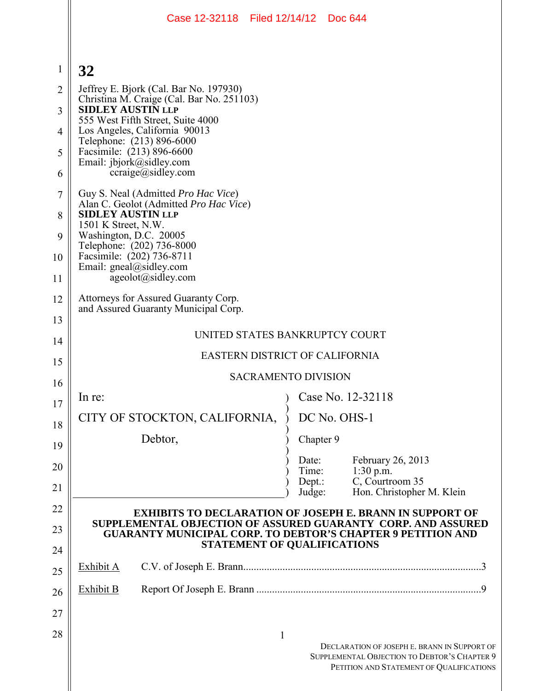|                | Case 12-32118 Filed 12/14/12 Doc 644                                                                                            |                                                                                                                                          |
|----------------|---------------------------------------------------------------------------------------------------------------------------------|------------------------------------------------------------------------------------------------------------------------------------------|
|                |                                                                                                                                 |                                                                                                                                          |
| 1              | 32                                                                                                                              |                                                                                                                                          |
| $\overline{2}$ | Jeffrey E. Bjork (Cal. Bar No. 197930)                                                                                          |                                                                                                                                          |
| 3              | Christina M. Craige (Cal. Bar No. 251103)<br><b>SIDLEY AUSTIN LLP</b><br>555 West Fifth Street, Suite 4000                      |                                                                                                                                          |
| 4              | Los Angeles, California 90013<br>Telephone: (213) 896-6000                                                                      |                                                                                                                                          |
| 5              | Facsimile: (213) 896-6600<br>Email: jbjork@sidley.com                                                                           |                                                                                                                                          |
| 6              | $ccraige(a)$ sidley.com                                                                                                         |                                                                                                                                          |
| $\overline{7}$ | Guy S. Neal (Admitted Pro Hac Vice)<br>Alan C. Geolot (Admitted Pro Hac Vice)                                                   |                                                                                                                                          |
| 8              | <b>SIDLEY AUSTIN LLP</b><br>1501 K Street, N.W.                                                                                 |                                                                                                                                          |
| 9              | Washington, D.C. 20005<br>Telephone: (202) 736-8000                                                                             |                                                                                                                                          |
| 10             | Facsimile: (202) 736-8711<br>Email: gneal@sidley.com                                                                            |                                                                                                                                          |
| 11             | ageolot@sidley.com                                                                                                              |                                                                                                                                          |
| 12             | Attorneys for Assured Guaranty Corp.<br>and Assured Guaranty Municipal Corp.                                                    |                                                                                                                                          |
| 13             | UNITED STATES BANKRUPTCY COURT                                                                                                  |                                                                                                                                          |
| 14             | <b>EASTERN DISTRICT OF CALIFORNIA</b>                                                                                           |                                                                                                                                          |
| 15             | <b>SACRAMENTO DIVISION</b>                                                                                                      |                                                                                                                                          |
| 16             | In re:                                                                                                                          | Case No. 12-32118                                                                                                                        |
| 17             | CITY OF STOCKTON, CALIFORNIA,                                                                                                   | DC No. OHS-1                                                                                                                             |
| 18             | Debtor,                                                                                                                         | Chapter 9                                                                                                                                |
| 19<br>20       | Date:                                                                                                                           | February 26, 2013                                                                                                                        |
| 21             | Time:<br>Depth:                                                                                                                 | $1:30$ p.m.<br>C, Courtroom 35                                                                                                           |
| 22             | Judge:                                                                                                                          | Hon. Christopher M. Klein                                                                                                                |
| 23             | <b>EXHIBITS TO DECLARATION OF JOSEPH E. BRANN IN SUPPORT OF</b><br>SUPPLEMENTAL OBJECTION OF ASSURED GUARANTY CORP. AND ASSURED |                                                                                                                                          |
| 24             | <b>GUARANTY MUNICIPAL CORP. TO DEBTOR'S CHAPTER 9 PETITION AND</b><br>STATEMENT OF QUALIFICATIONS                               |                                                                                                                                          |
| 25             | Exhibit A                                                                                                                       |                                                                                                                                          |
| 26             | <b>Exhibit B</b>                                                                                                                |                                                                                                                                          |
| 27             |                                                                                                                                 |                                                                                                                                          |
| 28             | 1                                                                                                                               |                                                                                                                                          |
|                |                                                                                                                                 | DECLARATION OF JOSEPH E. BRANN IN SUPPORT OF<br>SUPPLEMENTAL OBJECTION TO DEBTOR'S CHAPTER 9<br>PETITION AND STATEMENT OF QUALIFICATIONS |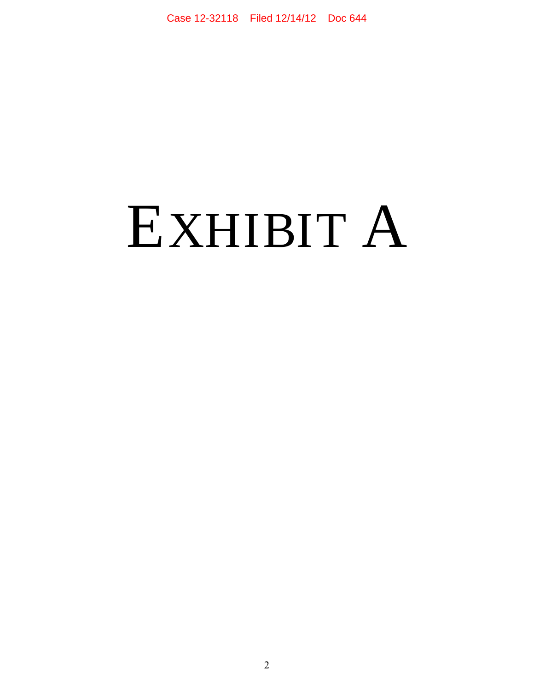# EXHIBIT A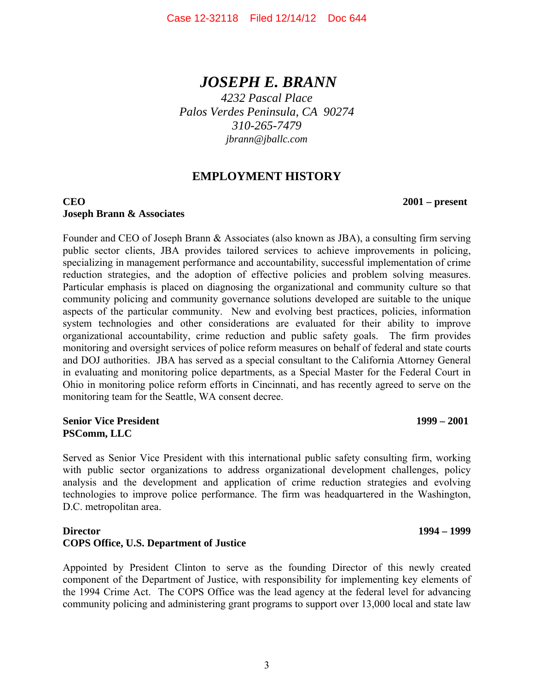## *JOSEPH E. BRANN*

*4232 Pascal Place Palos Verdes Peninsula, CA 90274 310-265-7479 jbrann@jballc.com* 

## **EMPLOYMENT HISTORY**

#### **CEO 2001 – present Joseph Brann & Associates**

Founder and CEO of Joseph Brann & Associates (also known as JBA), a consulting firm serving public sector clients, JBA provides tailored services to achieve improvements in policing, specializing in management performance and accountability, successful implementation of crime reduction strategies, and the adoption of effective policies and problem solving measures. Particular emphasis is placed on diagnosing the organizational and community culture so that community policing and community governance solutions developed are suitable to the unique aspects of the particular community. New and evolving best practices, policies, information system technologies and other considerations are evaluated for their ability to improve organizational accountability, crime reduction and public safety goals. The firm provides monitoring and oversight services of police reform measures on behalf of federal and state courts and DOJ authorities. JBA has served as a special consultant to the California Attorney General in evaluating and monitoring police departments, as a Special Master for the Federal Court in Ohio in monitoring police reform efforts in Cincinnati, and has recently agreed to serve on the monitoring team for the Seattle, WA consent decree.

#### **Senior Vice President 1999 – 2001 PSComm, LLC**

Served as Senior Vice President with this international public safety consulting firm, working with public sector organizations to address organizational development challenges, policy analysis and the development and application of crime reduction strategies and evolving technologies to improve police performance. The firm was headquartered in the Washington, D.C. metropolitan area.

#### **Director 1994 – 1999 COPS Office, U.S. Department of Justice**

Appointed by President Clinton to serve as the founding Director of this newly created component of the Department of Justice, with responsibility for implementing key elements of the 1994 Crime Act. The COPS Office was the lead agency at the federal level for advancing community policing and administering grant programs to support over 13,000 local and state law

3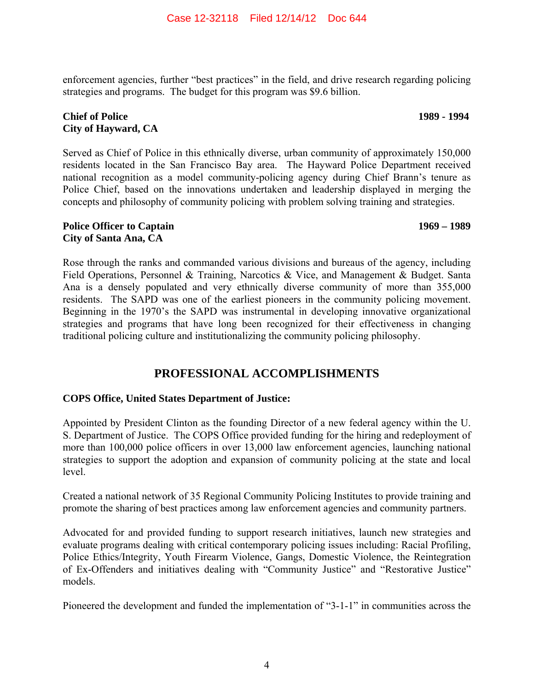enforcement agencies, further "best practices" in the field, and drive research regarding policing strategies and programs. The budget for this program was \$9.6 billion.

#### **Chief of Police 1989 - 1994 City of Hayward, CA**

Served as Chief of Police in this ethnically diverse, urban community of approximately 150,000 residents located in the San Francisco Bay area. The Hayward Police Department received national recognition as a model community-policing agency during Chief Brann's tenure as Police Chief, based on the innovations undertaken and leadership displayed in merging the concepts and philosophy of community policing with problem solving training and strategies.

#### **Police Officer to Captain 1969 – 1989 City of Santa Ana, CA**

Rose through the ranks and commanded various divisions and bureaus of the agency, including Field Operations, Personnel & Training, Narcotics & Vice, and Management & Budget. Santa Ana is a densely populated and very ethnically diverse community of more than 355,000 residents. The SAPD was one of the earliest pioneers in the community policing movement. Beginning in the 1970's the SAPD was instrumental in developing innovative organizational strategies and programs that have long been recognized for their effectiveness in changing traditional policing culture and institutionalizing the community policing philosophy.

### **PROFESSIONAL ACCOMPLISHMENTS**

#### **COPS Office, United States Department of Justice:**

Appointed by President Clinton as the founding Director of a new federal agency within the U. S. Department of Justice. The COPS Office provided funding for the hiring and redeployment of more than 100,000 police officers in over 13,000 law enforcement agencies, launching national strategies to support the adoption and expansion of community policing at the state and local level.

Created a national network of 35 Regional Community Policing Institutes to provide training and promote the sharing of best practices among law enforcement agencies and community partners.

Advocated for and provided funding to support research initiatives, launch new strategies and evaluate programs dealing with critical contemporary policing issues including: Racial Profiling, Police Ethics/Integrity, Youth Firearm Violence, Gangs, Domestic Violence, the Reintegration of Ex-Offenders and initiatives dealing with "Community Justice" and "Restorative Justice" models.

Pioneered the development and funded the implementation of "3-1-1" in communities across the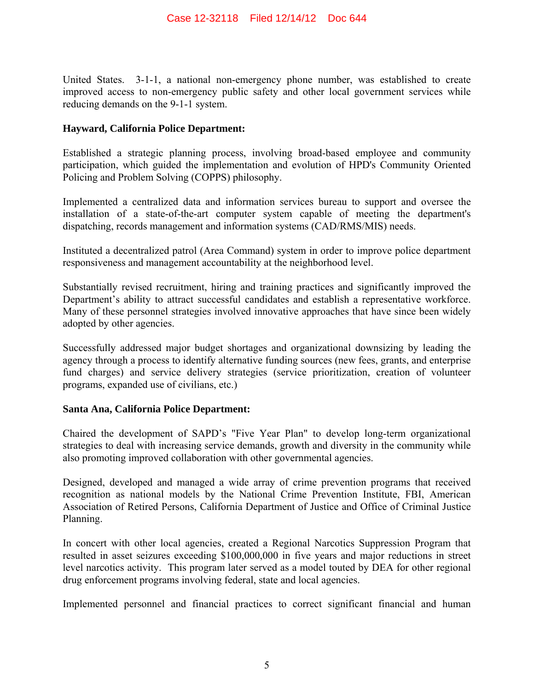United States. 3-1-1, a national non-emergency phone number, was established to create improved access to non-emergency public safety and other local government services while reducing demands on the 9-1-1 system.

#### **Hayward, California Police Department:**

Established a strategic planning process, involving broad-based employee and community participation, which guided the implementation and evolution of HPD's Community Oriented Policing and Problem Solving (COPPS) philosophy.

Implemented a centralized data and information services bureau to support and oversee the installation of a state-of-the-art computer system capable of meeting the department's dispatching, records management and information systems (CAD/RMS/MIS) needs.

Instituted a decentralized patrol (Area Command) system in order to improve police department responsiveness and management accountability at the neighborhood level.

Substantially revised recruitment, hiring and training practices and significantly improved the Department's ability to attract successful candidates and establish a representative workforce. Many of these personnel strategies involved innovative approaches that have since been widely adopted by other agencies.

Successfully addressed major budget shortages and organizational downsizing by leading the agency through a process to identify alternative funding sources (new fees, grants, and enterprise fund charges) and service delivery strategies (service prioritization, creation of volunteer programs, expanded use of civilians, etc.)

#### **Santa Ana, California Police Department:**

Chaired the development of SAPD's "Five Year Plan" to develop long-term organizational strategies to deal with increasing service demands, growth and diversity in the community while also promoting improved collaboration with other governmental agencies.

Designed, developed and managed a wide array of crime prevention programs that received recognition as national models by the National Crime Prevention Institute, FBI, American Association of Retired Persons, California Department of Justice and Office of Criminal Justice Planning.

In concert with other local agencies, created a Regional Narcotics Suppression Program that resulted in asset seizures exceeding \$100,000,000 in five years and major reductions in street level narcotics activity. This program later served as a model touted by DEA for other regional drug enforcement programs involving federal, state and local agencies.

Implemented personnel and financial practices to correct significant financial and human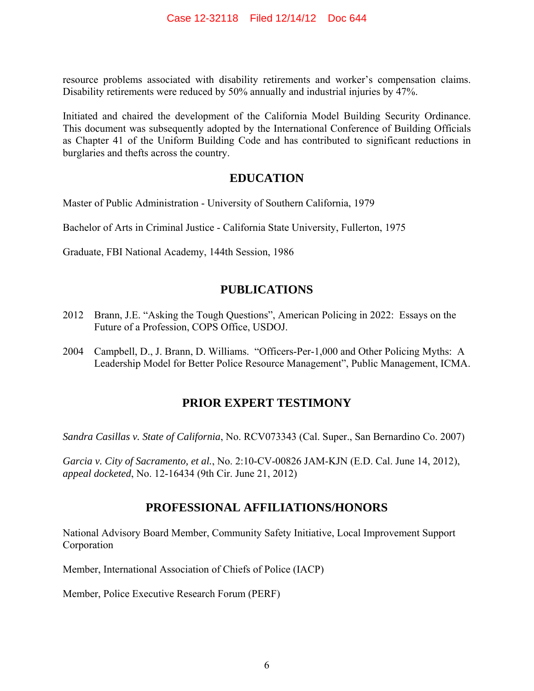resource problems associated with disability retirements and worker's compensation claims. Disability retirements were reduced by 50% annually and industrial injuries by 47%.

Initiated and chaired the development of the California Model Building Security Ordinance. This document was subsequently adopted by the International Conference of Building Officials as Chapter 41 of the Uniform Building Code and has contributed to significant reductions in burglaries and thefts across the country.

#### **EDUCATION**

Master of Public Administration - University of Southern California, 1979

Bachelor of Arts in Criminal Justice - California State University, Fullerton, 1975

Graduate, FBI National Academy, 144th Session, 1986

### **PUBLICATIONS**

- 2012 Brann, J.E. "Asking the Tough Questions", American Policing in 2022: Essays on the Future of a Profession, COPS Office, USDOJ.
- 2004 Campbell, D., J. Brann, D. Williams. "Officers-Per-1,000 and Other Policing Myths: A Leadership Model for Better Police Resource Management", Public Management, ICMA.

### **PRIOR EXPERT TESTIMONY**

*Sandra Casillas v. State of California*, No. RCV073343 (Cal. Super., San Bernardino Co. 2007)

*Garcia v. City of Sacramento, et al.*, No. 2:10-CV-00826 JAM-KJN (E.D. Cal. June 14, 2012), *appeal docketed*, No. 12-16434 (9th Cir. June 21, 2012)

### **PROFESSIONAL AFFILIATIONS/HONORS**

National Advisory Board Member, Community Safety Initiative, Local Improvement Support Corporation

Member, International Association of Chiefs of Police (IACP)

Member, Police Executive Research Forum (PERF)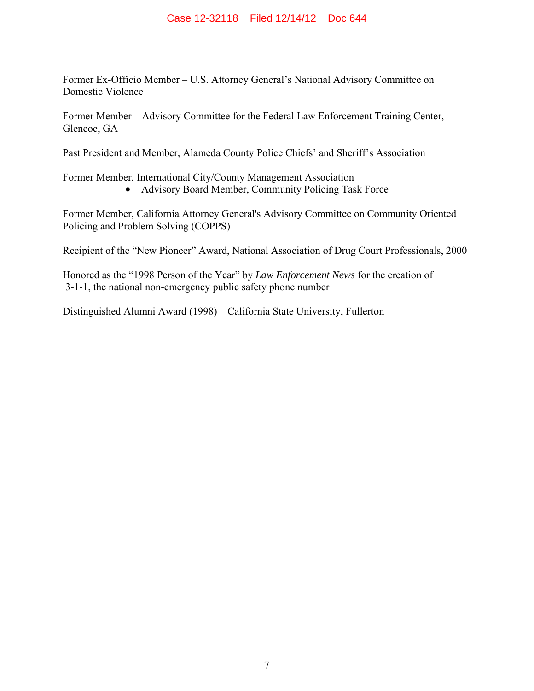Former Ex-Officio Member – U.S. Attorney General's National Advisory Committee on Domestic Violence

Former Member – Advisory Committee for the Federal Law Enforcement Training Center, Glencoe, GA

Past President and Member, Alameda County Police Chiefs' and Sheriff's Association

Former Member, International City/County Management Association

• Advisory Board Member, Community Policing Task Force

Former Member, California Attorney General's Advisory Committee on Community Oriented Policing and Problem Solving (COPPS)

Recipient of the "New Pioneer" Award, National Association of Drug Court Professionals, 2000

Honored as the "1998 Person of the Year" by *Law Enforcement News* for the creation of 3-1-1, the national non-emergency public safety phone number

Distinguished Alumni Award (1998) – California State University, Fullerton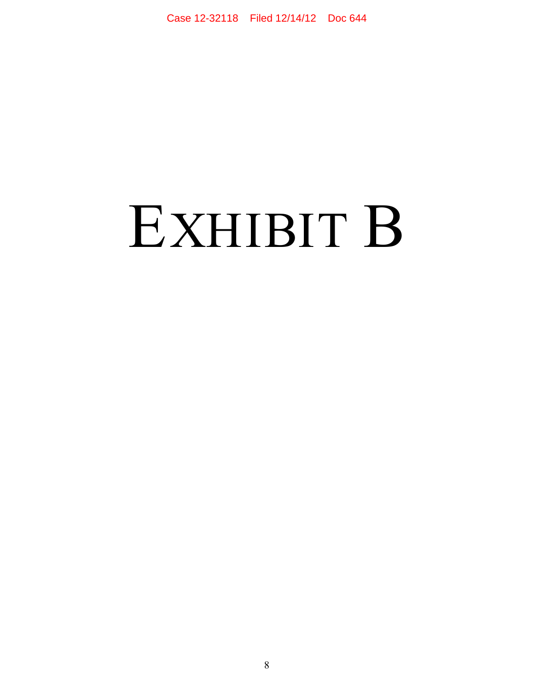# EXHIBIT B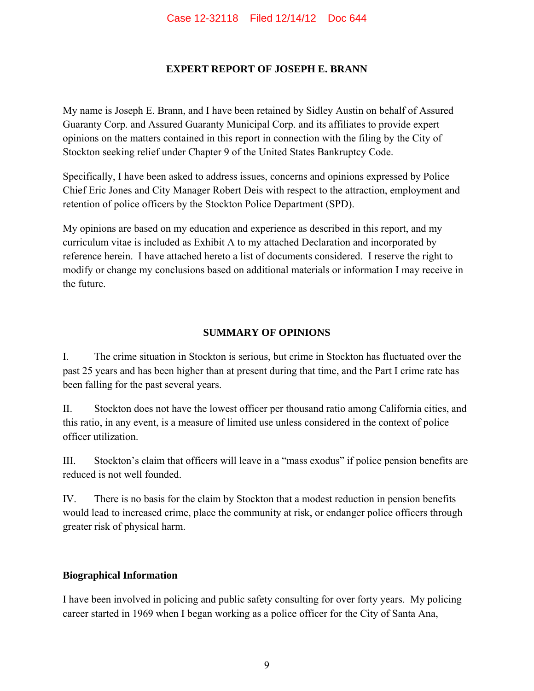#### **EXPERT REPORT OF JOSEPH E. BRANN**

My name is Joseph E. Brann, and I have been retained by Sidley Austin on behalf of Assured Guaranty Corp. and Assured Guaranty Municipal Corp. and its affiliates to provide expert opinions on the matters contained in this report in connection with the filing by the City of Stockton seeking relief under Chapter 9 of the United States Bankruptcy Code.

Specifically, I have been asked to address issues, concerns and opinions expressed by Police Chief Eric Jones and City Manager Robert Deis with respect to the attraction, employment and retention of police officers by the Stockton Police Department (SPD).

My opinions are based on my education and experience as described in this report, and my curriculum vitae is included as Exhibit A to my attached Declaration and incorporated by reference herein. I have attached hereto a list of documents considered. I reserve the right to modify or change my conclusions based on additional materials or information I may receive in the future.

#### **SUMMARY OF OPINIONS**

I. The crime situation in Stockton is serious, but crime in Stockton has fluctuated over the past 25 years and has been higher than at present during that time, and the Part I crime rate has been falling for the past several years.

II. Stockton does not have the lowest officer per thousand ratio among California cities, and this ratio, in any event, is a measure of limited use unless considered in the context of police officer utilization.

III. Stockton's claim that officers will leave in a "mass exodus" if police pension benefits are reduced is not well founded.

IV. There is no basis for the claim by Stockton that a modest reduction in pension benefits would lead to increased crime, place the community at risk, or endanger police officers through greater risk of physical harm.

#### **Biographical Information**

I have been involved in policing and public safety consulting for over forty years. My policing career started in 1969 when I began working as a police officer for the City of Santa Ana,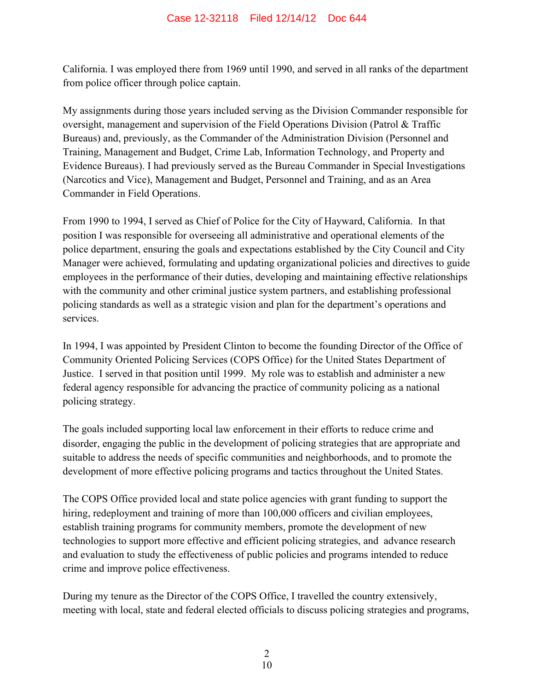California. I was employed there from 1969 until 1990, and served in all ranks of the department from police officer through police captain.

My assignments during those years included serving as the Division Commander responsible for oversight, management and supervision of the Field Operations Division (Patrol & Traffic Bureaus) and, previously, as the Commander of the Administration Division (Personnel and Training, Management and Budget, Crime Lab, Information Technology, and Property and Evidence Bureaus). I had previously served as the Bureau Commander in Special Investigations (Narcotics and Vice), Management and Budget, Personnel and Training, and as an Area Commander in Field Operations.

From 1990 to 1994, I served as Chief of Police for the City of Hayward, California. In that position I was responsible for overseeing all administrative and operational elements of the police department, ensuring the goals and expectations established by the City Council and City Manager were achieved, formulating and updating organizational policies and directives to guide employees in the performance of their duties, developing and maintaining effective relationships with the community and other criminal justice system partners, and establishing professional policing standards as well as a strategic vision and plan for the department's operations and services.

In 1994, I was appointed by President Clinton to become the founding Director of the Office of Community Oriented Policing Services (COPS Office) for the United States Department of Justice. I served in that position until 1999. My role was to establish and administer a new federal agency responsible for advancing the practice of community policing as a national policing strategy.

The goals included supporting local law enforcement in their efforts to reduce crime and disorder, engaging the public in the development of policing strategies that are appropriate and suitable to address the needs of specific communities and neighborhoods, and to promote the development of more effective policing programs and tactics throughout the United States.

The COPS Office provided local and state police agencies with grant funding to support the hiring, redeployment and training of more than 100,000 officers and civilian employees, establish training programs for community members, promote the development of new technologies to support more effective and efficient policing strategies, and advance research and evaluation to study the effectiveness of public policies and programs intended to reduce crime and improve police effectiveness.

During my tenure as the Director of the COPS Office, I travelled the country extensively, meeting with local, state and federal elected officials to discuss policing strategies and programs,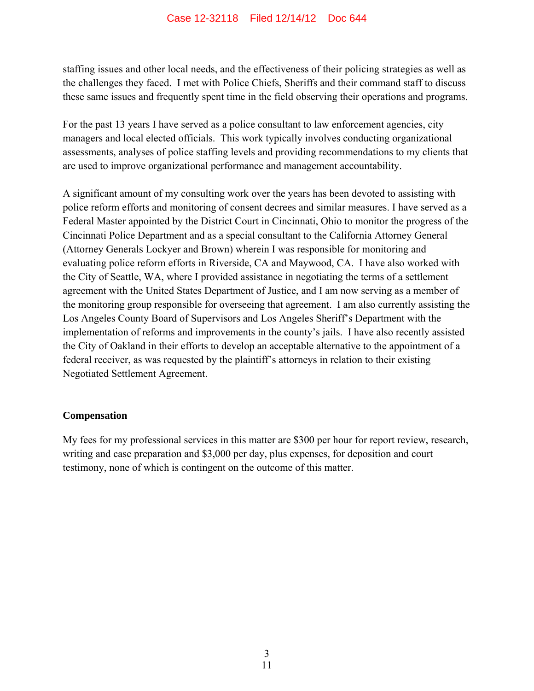staffing issues and other local needs, and the effectiveness of their policing strategies as well as the challenges they faced. I met with Police Chiefs, Sheriffs and their command staff to discuss these same issues and frequently spent time in the field observing their operations and programs.

For the past 13 years I have served as a police consultant to law enforcement agencies, city managers and local elected officials. This work typically involves conducting organizational assessments, analyses of police staffing levels and providing recommendations to my clients that are used to improve organizational performance and management accountability.

A significant amount of my consulting work over the years has been devoted to assisting with police reform efforts and monitoring of consent decrees and similar measures. I have served as a Federal Master appointed by the District Court in Cincinnati, Ohio to monitor the progress of the Cincinnati Police Department and as a special consultant to the California Attorney General (Attorney Generals Lockyer and Brown) wherein I was responsible for monitoring and evaluating police reform efforts in Riverside, CA and Maywood, CA. I have also worked with the City of Seattle, WA, where I provided assistance in negotiating the terms of a settlement agreement with the United States Department of Justice, and I am now serving as a member of the monitoring group responsible for overseeing that agreement. I am also currently assisting the Los Angeles County Board of Supervisors and Los Angeles Sheriff's Department with the implementation of reforms and improvements in the county's jails. I have also recently assisted the City of Oakland in their efforts to develop an acceptable alternative to the appointment of a federal receiver, as was requested by the plaintiff's attorneys in relation to their existing Negotiated Settlement Agreement.

#### **Compensation**

My fees for my professional services in this matter are \$300 per hour for report review, research, writing and case preparation and \$3,000 per day, plus expenses, for deposition and court testimony, none of which is contingent on the outcome of this matter.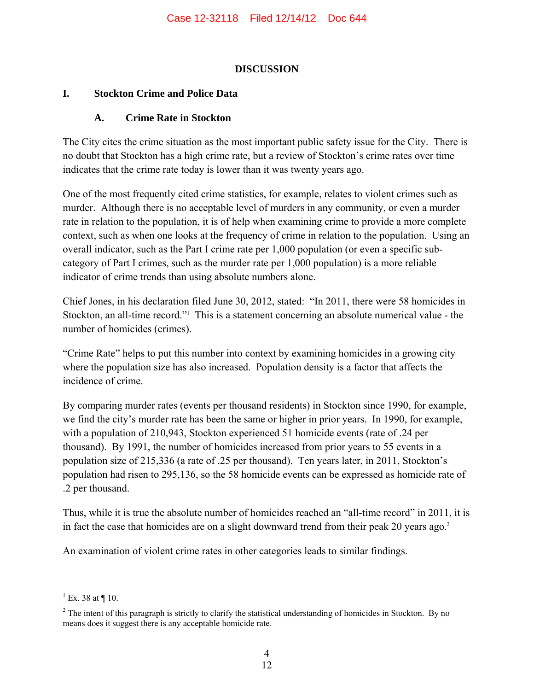#### **DISCUSSION**

#### **I. Stockton Crime and Police Data**

#### **A. Crime Rate in Stockton**

The City cites the crime situation as the most important public safety issue for the City. There is no doubt that Stockton has a high crime rate, but a review of Stockton's crime rates over time indicates that the crime rate today is lower than it was twenty years ago.

One of the most frequently cited crime statistics, for example, relates to violent crimes such as murder. Although there is no acceptable level of murders in any community, or even a murder rate in relation to the population, it is of help when examining crime to provide a more complete context, such as when one looks at the frequency of crime in relation to the population. Using an overall indicator, such as the Part I crime rate per 1,000 population (or even a specific subcategory of Part I crimes, such as the murder rate per 1,000 population) is a more reliable indicator of crime trends than using absolute numbers alone.

Chief Jones, in his declaration filed June 30, 2012, stated: "In 2011, there were 58 homicides in Stockton, an all-time record."<sup>1</sup> This is a statement concerning an absolute numerical value - the number of homicides (crimes).

"Crime Rate" helps to put this number into context by examining homicides in a growing city where the population size has also increased. Population density is a factor that affects the incidence of crime.

By comparing murder rates (events per thousand residents) in Stockton since 1990, for example, we find the city's murder rate has been the same or higher in prior years. In 1990, for example, with a population of 210,943, Stockton experienced 51 homicide events (rate of .24 per thousand). By 1991, the number of homicides increased from prior years to 55 events in a population size of 215,336 (a rate of .25 per thousand). Ten years later, in 2011, Stockton's population had risen to 295,136, so the 58 homicide events can be expressed as homicide rate of .2 per thousand.

Thus, while it is true the absolute number of homicides reached an "all-time record" in 2011, it is in fact the case that homicides are on a slight downward trend from their peak 20 years ago.<sup>2</sup>

An examination of violent crime rates in other categories leads to similar findings.

<sup>1</sup> <sup>1</sup> Ex. 38 at  $\P$  10.

 $2<sup>2</sup>$  The intent of this paragraph is strictly to clarify the statistical understanding of homicides in Stockton. By no means does it suggest there is any acceptable homicide rate.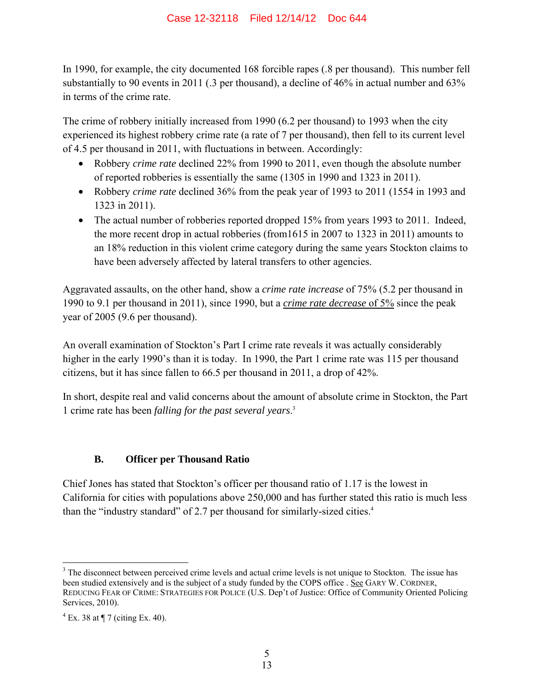In 1990, for example, the city documented 168 forcible rapes (.8 per thousand). This number fell substantially to 90 events in 2011 (.3 per thousand), a decline of 46% in actual number and 63% in terms of the crime rate.

The crime of robbery initially increased from 1990 (6.2 per thousand) to 1993 when the city experienced its highest robbery crime rate (a rate of 7 per thousand), then fell to its current level of 4.5 per thousand in 2011, with fluctuations in between. Accordingly:

- Robbery *crime rate* declined 22% from 1990 to 2011, even though the absolute number of reported robberies is essentially the same (1305 in 1990 and 1323 in 2011).
- Robbery *crime rate* declined 36% from the peak year of 1993 to 2011 (1554 in 1993 and 1323 in 2011).
- The actual number of robberies reported dropped 15% from years 1993 to 2011. Indeed, the more recent drop in actual robberies (from1615 in 2007 to 1323 in 2011) amounts to an 18% reduction in this violent crime category during the same years Stockton claims to have been adversely affected by lateral transfers to other agencies.

Aggravated assaults, on the other hand, show a *crime rate increase* of 75% (5.2 per thousand in 1990 to 9.1 per thousand in 2011), since 1990, but a *crime rate decrease* of 5% since the peak year of 2005 (9.6 per thousand).

An overall examination of Stockton's Part I crime rate reveals it was actually considerably higher in the early 1990's than it is today. In 1990, the Part 1 crime rate was 115 per thousand citizens, but it has since fallen to 66.5 per thousand in 2011, a drop of 42%.

In short, despite real and valid concerns about the amount of absolute crime in Stockton, the Part 1 crime rate has been *falling for the past several years*. 3

### **B. Officer per Thousand Ratio**

Chief Jones has stated that Stockton's officer per thousand ratio of 1.17 is the lowest in California for cities with populations above 250,000 and has further stated this ratio is much less than the "industry standard" of 2.7 per thousand for similarly-sized cities.<sup>4</sup>

1

<sup>&</sup>lt;sup>3</sup> The disconnect between perceived crime levels and actual crime levels is not unique to Stockton. The issue has been studied extensively and is the subject of a study funded by the COPS office . See GARY W. CORDNER, REDUCING FEAR OF CRIME: STRATEGIES FOR POLICE (U.S. Dep't of Justice: Office of Community Oriented Policing Services, 2010).

 $4$  Ex. 38 at  $\P$  7 (citing Ex. 40).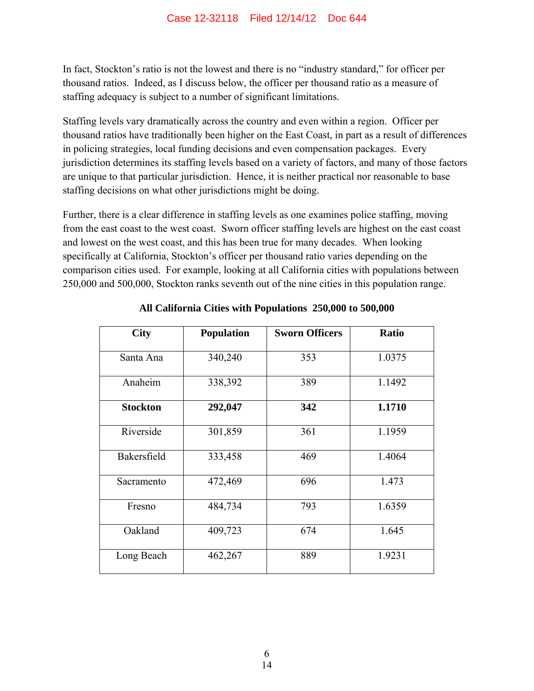In fact, Stockton's ratio is not the lowest and there is no "industry standard," for officer per thousand ratios. Indeed, as I discuss below, the officer per thousand ratio as a measure of staffing adequacy is subject to a number of significant limitations.

Staffing levels vary dramatically across the country and even within a region. Officer per thousand ratios have traditionally been higher on the East Coast, in part as a result of differences in policing strategies, local funding decisions and even compensation packages. Every jurisdiction determines its staffing levels based on a variety of factors, and many of those factors are unique to that particular jurisdiction. Hence, it is neither practical nor reasonable to base staffing decisions on what other jurisdictions might be doing.

Further, there is a clear difference in staffing levels as one examines police staffing, moving from the east coast to the west coast. Sworn officer staffing levels are highest on the east coast and lowest on the west coast, and this has been true for many decades. When looking specifically at California, Stockton's officer per thousand ratio varies depending on the comparison cities used. For example, looking at all California cities with populations between 250,000 and 500,000, Stockton ranks seventh out of the nine cities in this population range.

| <b>City</b>     | <b>Population</b> | <b>Sworn Officers</b> | <b>Ratio</b> |
|-----------------|-------------------|-----------------------|--------------|
| Santa Ana       | 340,240           | 353                   | 1.0375       |
| Anaheim         | 338,392           | 389                   | 1.1492       |
| <b>Stockton</b> | 292,047           | 342                   | 1.1710       |
| Riverside       | 301,859           | 361                   | 1.1959       |
| Bakersfield     | 333,458           | 469                   | 1.4064       |
| Sacramento      | 472,469           | 696                   | 1.473        |
| Fresno          | 484,734           | 793                   | 1.6359       |
| Oakland         | 409,723           | 674                   | 1.645        |
| Long Beach      | 462,267           | 889                   | 1.9231       |

**All California Cities with Populations 250,000 to 500,000**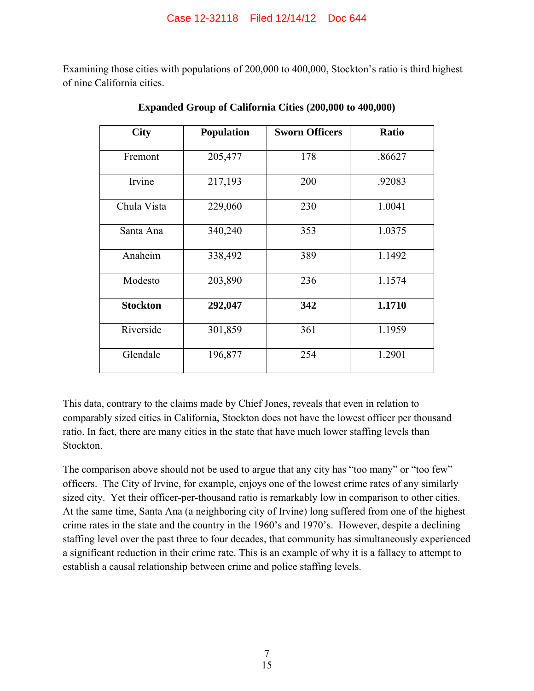Examining those cities with populations of 200,000 to 400,000, Stockton's ratio is third highest of nine California cities.

| <b>City</b>     | <b>Population</b> | <b>Sworn Officers</b> | <b>Ratio</b> |
|-----------------|-------------------|-----------------------|--------------|
| Fremont         | 205,477           | 178                   | .86627       |
| Irvine          | 217,193           | 200                   | .92083       |
| Chula Vista     | 229,060           | 230                   | 1.0041       |
| Santa Ana       | 340,240           | 353                   | 1.0375       |
| Anaheim         | 338,492           | 389                   | 1.1492       |
| Modesto         | 203,890           | 236                   | 1.1574       |
| <b>Stockton</b> | 292,047           | 342                   | 1.1710       |
| Riverside       | 301,859           | 361                   | 1.1959       |
| Glendale        | 196,877           | 254                   | 1.2901       |

**Expanded Group of California Cities (200,000 to 400,000)** 

This data, contrary to the claims made by Chief Jones, reveals that even in relation to comparably sized cities in California, Stockton does not have the lowest officer per thousand ratio. In fact, there are many cities in the state that have much lower staffing levels than Stockton.

The comparison above should not be used to argue that any city has "too many" or "too few" officers. The City of Irvine, for example, enjoys one of the lowest crime rates of any similarly sized city. Yet their officer-per-thousand ratio is remarkably low in comparison to other cities. At the same time, Santa Ana (a neighboring city of Irvine) long suffered from one of the highest crime rates in the state and the country in the 1960's and 1970's. However, despite a declining staffing level over the past three to four decades, that community has simultaneously experienced a significant reduction in their crime rate. This is an example of why it is a fallacy to attempt to establish a causal relationship between crime and police staffing levels.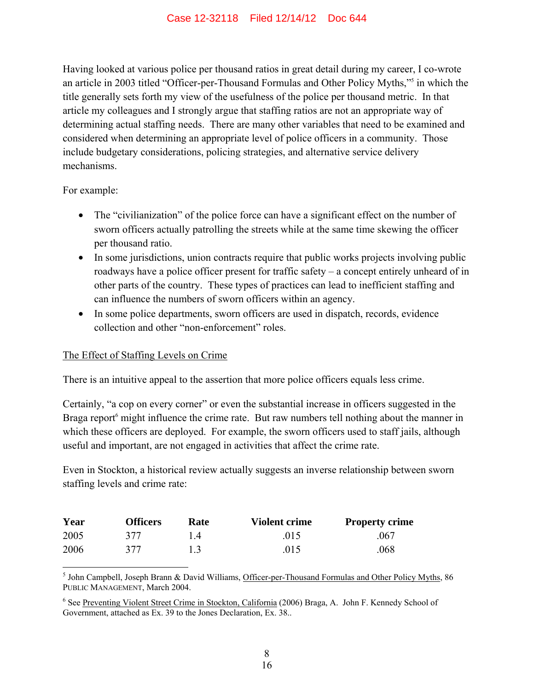Having looked at various police per thousand ratios in great detail during my career, I co-wrote an article in 2003 titled "Officer-per-Thousand Formulas and Other Policy Myths,"5 in which the title generally sets forth my view of the usefulness of the police per thousand metric. In that article my colleagues and I strongly argue that staffing ratios are not an appropriate way of determining actual staffing needs. There are many other variables that need to be examined and considered when determining an appropriate level of police officers in a community. Those include budgetary considerations, policing strategies, and alternative service delivery mechanisms.

For example:

- The "civilianization" of the police force can have a significant effect on the number of sworn officers actually patrolling the streets while at the same time skewing the officer per thousand ratio.
- In some jurisdictions, union contracts require that public works projects involving public roadways have a police officer present for traffic safety – a concept entirely unheard of in other parts of the country. These types of practices can lead to inefficient staffing and can influence the numbers of sworn officers within an agency.
- In some police departments, sworn officers are used in dispatch, records, evidence collection and other "non-enforcement" roles.

#### The Effect of Staffing Levels on Crime

There is an intuitive appeal to the assertion that more police officers equals less crime.

Certainly, "a cop on every corner" or even the substantial increase in officers suggested in the Braga report<sup>6</sup> might influence the crime rate. But raw numbers tell nothing about the manner in which these officers are deployed. For example, the sworn officers used to staff jails, although useful and important, are not engaged in activities that affect the crime rate.

Even in Stockton, a historical review actually suggests an inverse relationship between sworn staffing levels and crime rate:

| Year | <b>Officers</b> | Rate            | <b>Violent crime</b> | <b>Property crime</b> |
|------|-----------------|-----------------|----------------------|-----------------------|
| 2005 | 377             | $\overline{14}$ | .015                 | .067                  |
| 2006 | 377             | 1.3             | .015                 | .068                  |

 $\overline{a}$ <sup>5</sup> John Campbell, Joseph Brann & David Williams, Officer-per-Thousand Formulas and Other Policy Myths, 86 PUBLIC MANAGEMENT, March 2004.

<sup>&</sup>lt;sup>6</sup> See Preventing Violent Street Crime in Stockton, California (2006) Braga, A. John F. Kennedy School of Government, attached as Ex. 39 to the Jones Declaration, Ex. 38..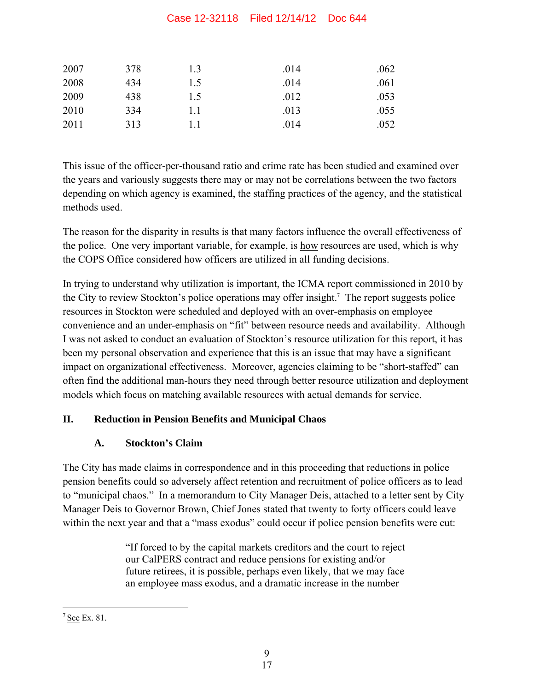#### Case 12-32118 Filed 12/14/12 Doc 644

| 2007 | 378 | 1.3 | .014 | .062 |
|------|-----|-----|------|------|
| 2008 | 434 | 1.5 | .014 | .061 |
| 2009 | 438 | 1.5 | .012 | .053 |
| 2010 | 334 | 1.1 | .013 | .055 |
| 2011 | 313 |     | .014 | .052 |

This issue of the officer-per-thousand ratio and crime rate has been studied and examined over the years and variously suggests there may or may not be correlations between the two factors depending on which agency is examined, the staffing practices of the agency, and the statistical methods used.

The reason for the disparity in results is that many factors influence the overall effectiveness of the police. One very important variable, for example, is how resources are used, which is why the COPS Office considered how officers are utilized in all funding decisions.

In trying to understand why utilization is important, the ICMA report commissioned in 2010 by the City to review Stockton's police operations may offer insight.<sup>7</sup> The report suggests police resources in Stockton were scheduled and deployed with an over-emphasis on employee convenience and an under-emphasis on "fit" between resource needs and availability. Although I was not asked to conduct an evaluation of Stockton's resource utilization for this report, it has been my personal observation and experience that this is an issue that may have a significant impact on organizational effectiveness. Moreover, agencies claiming to be "short-staffed" can often find the additional man-hours they need through better resource utilization and deployment models which focus on matching available resources with actual demands for service.

#### **II. Reduction in Pension Benefits and Municipal Chaos**

### **A. Stockton's Claim**

The City has made claims in correspondence and in this proceeding that reductions in police pension benefits could so adversely affect retention and recruitment of police officers as to lead to "municipal chaos." In a memorandum to City Manager Deis, attached to a letter sent by City Manager Deis to Governor Brown, Chief Jones stated that twenty to forty officers could leave within the next year and that a "mass exodus" could occur if police pension benefits were cut:

> "If forced to by the capital markets creditors and the court to reject our CalPERS contract and reduce pensions for existing and/or future retirees, it is possible, perhaps even likely, that we may face an employee mass exodus, and a dramatic increase in the number

 $\overline{a}$  $7$  See Ex. 81.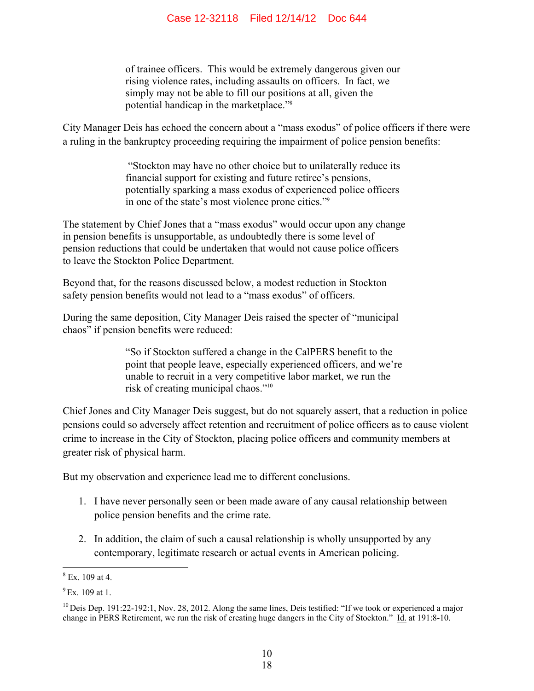of trainee officers. This would be extremely dangerous given our rising violence rates, including assaults on officers. In fact, we simply may not be able to fill our positions at all, given the potential handicap in the marketplace."8

City Manager Deis has echoed the concern about a "mass exodus" of police officers if there were a ruling in the bankruptcy proceeding requiring the impairment of police pension benefits:

> "Stockton may have no other choice but to unilaterally reduce its financial support for existing and future retiree's pensions, potentially sparking a mass exodus of experienced police officers in one of the state's most violence prone cities."9

The statement by Chief Jones that a "mass exodus" would occur upon any change in pension benefits is unsupportable, as undoubtedly there is some level of pension reductions that could be undertaken that would not cause police officers to leave the Stockton Police Department.

Beyond that, for the reasons discussed below, a modest reduction in Stockton safety pension benefits would not lead to a "mass exodus" of officers.

During the same deposition, City Manager Deis raised the specter of "municipal chaos" if pension benefits were reduced:

> "So if Stockton suffered a change in the CalPERS benefit to the point that people leave, especially experienced officers, and we're unable to recruit in a very competitive labor market, we run the risk of creating municipal chaos."10

Chief Jones and City Manager Deis suggest, but do not squarely assert, that a reduction in police pensions could so adversely affect retention and recruitment of police officers as to cause violent crime to increase in the City of Stockton, placing police officers and community members at greater risk of physical harm.

But my observation and experience lead me to different conclusions.

- 1. I have never personally seen or been made aware of any causal relationship between police pension benefits and the crime rate.
- 2. In addition, the claim of such a causal relationship is wholly unsupported by any contemporary, legitimate research or actual events in American policing.

 $8 \text{ Ex. } 109 \text{ at } 4.$ 

 $^{9}$  Ex. 109 at 1.

 $10$  Deis Dep. 191:22-192:1, Nov. 28, 2012. Along the same lines, Deis testified: "If we took or experienced a major change in PERS Retirement, we run the risk of creating huge dangers in the City of Stockton." Id. at 191:8-10.

<sup>18</sup>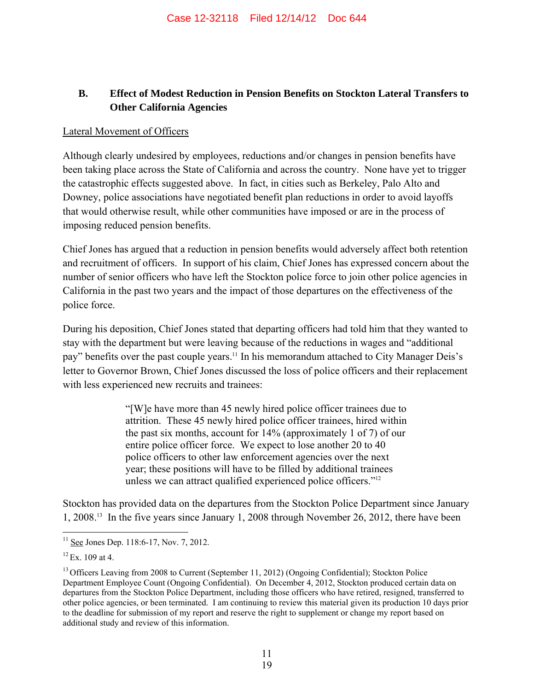#### **B. Effect of Modest Reduction in Pension Benefits on Stockton Lateral Transfers to Other California Agencies**

#### Lateral Movement of Officers

Although clearly undesired by employees, reductions and/or changes in pension benefits have been taking place across the State of California and across the country. None have yet to trigger the catastrophic effects suggested above. In fact, in cities such as Berkeley, Palo Alto and Downey, police associations have negotiated benefit plan reductions in order to avoid layoffs that would otherwise result, while other communities have imposed or are in the process of imposing reduced pension benefits.

Chief Jones has argued that a reduction in pension benefits would adversely affect both retention and recruitment of officers. In support of his claim, Chief Jones has expressed concern about the number of senior officers who have left the Stockton police force to join other police agencies in California in the past two years and the impact of those departures on the effectiveness of the police force.

During his deposition, Chief Jones stated that departing officers had told him that they wanted to stay with the department but were leaving because of the reductions in wages and "additional pay" benefits over the past couple years.<sup>11</sup> In his memorandum attached to City Manager Deis's letter to Governor Brown, Chief Jones discussed the loss of police officers and their replacement with less experienced new recruits and trainees:

> "[W]e have more than 45 newly hired police officer trainees due to attrition. These 45 newly hired police officer trainees, hired within the past six months, account for 14% (approximately 1 of 7) of our entire police officer force. We expect to lose another 20 to 40 police officers to other law enforcement agencies over the next year; these positions will have to be filled by additional trainees unless we can attract qualified experienced police officers."12

Stockton has provided data on the departures from the Stockton Police Department since January 1, 2008.13 In the five years since January 1, 2008 through November 26, 2012, there have been

 $\overline{a}$  $11$  See Jones Dep. 118:6-17, Nov. 7, 2012.

 $12$  Ex. 109 at 4.

<sup>&</sup>lt;sup>13</sup> Officers Leaving from 2008 to Current (September 11, 2012) (Ongoing Confidential); Stockton Police Department Employee Count (Ongoing Confidential). On December 4, 2012, Stockton produced certain data on departures from the Stockton Police Department, including those officers who have retired, resigned, transferred to other police agencies, or been terminated. I am continuing to review this material given its production 10 days prior to the deadline for submission of my report and reserve the right to supplement or change my report based on additional study and review of this information.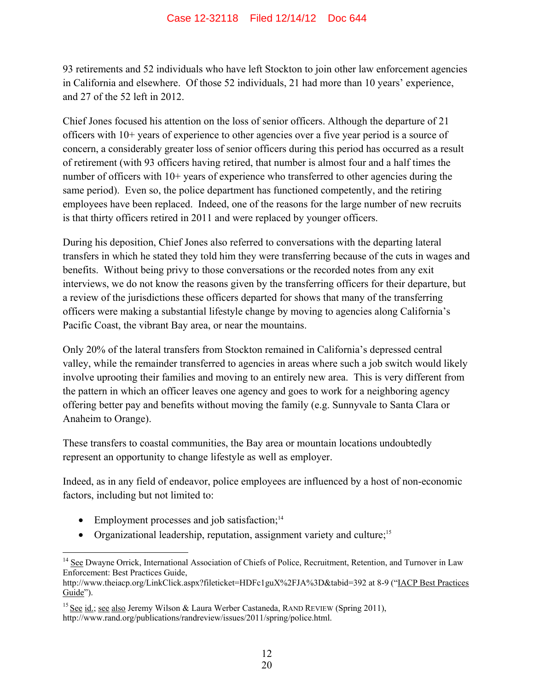93 retirements and 52 individuals who have left Stockton to join other law enforcement agencies in California and elsewhere. Of those 52 individuals, 21 had more than 10 years' experience, and 27 of the 52 left in 2012.

Chief Jones focused his attention on the loss of senior officers. Although the departure of 21 officers with 10+ years of experience to other agencies over a five year period is a source of concern, a considerably greater loss of senior officers during this period has occurred as a result of retirement (with 93 officers having retired, that number is almost four and a half times the number of officers with 10+ years of experience who transferred to other agencies during the same period). Even so, the police department has functioned competently, and the retiring employees have been replaced. Indeed, one of the reasons for the large number of new recruits is that thirty officers retired in 2011 and were replaced by younger officers.

During his deposition, Chief Jones also referred to conversations with the departing lateral transfers in which he stated they told him they were transferring because of the cuts in wages and benefits. Without being privy to those conversations or the recorded notes from any exit interviews, we do not know the reasons given by the transferring officers for their departure, but a review of the jurisdictions these officers departed for shows that many of the transferring officers were making a substantial lifestyle change by moving to agencies along California's Pacific Coast, the vibrant Bay area, or near the mountains.

Only 20% of the lateral transfers from Stockton remained in California's depressed central valley, while the remainder transferred to agencies in areas where such a job switch would likely involve uprooting their families and moving to an entirely new area. This is very different from the pattern in which an officer leaves one agency and goes to work for a neighboring agency offering better pay and benefits without moving the family (e.g. Sunnyvale to Santa Clara or Anaheim to Orange).

These transfers to coastal communities, the Bay area or mountain locations undoubtedly represent an opportunity to change lifestyle as well as employer.

Indeed, as in any field of endeavor, police employees are influenced by a host of non-economic factors, including but not limited to:

• Employment processes and job satisfaction;<sup>14</sup>

 $\overline{a}$ 

• Organizational leadership, reputation, assignment variety and culture;<sup>15</sup>

<sup>&</sup>lt;sup>14</sup> See Dwayne Orrick, International Association of Chiefs of Police, Recruitment, Retention, and Turnover in Law Enforcement: Best Practices Guide,

http://www.theiacp.org/LinkClick.aspx?fileticket=HDFc1guX%2FJA%3D&tabid=392 at 8-9 ("IACP Best Practices Guide").

<sup>&</sup>lt;sup>15</sup> See id.; see also Jeremy Wilson & Laura Werber Castaneda, RAND REVIEW (Spring 2011), http://www.rand.org/publications/randreview/issues/2011/spring/police.html.

<sup>20</sup>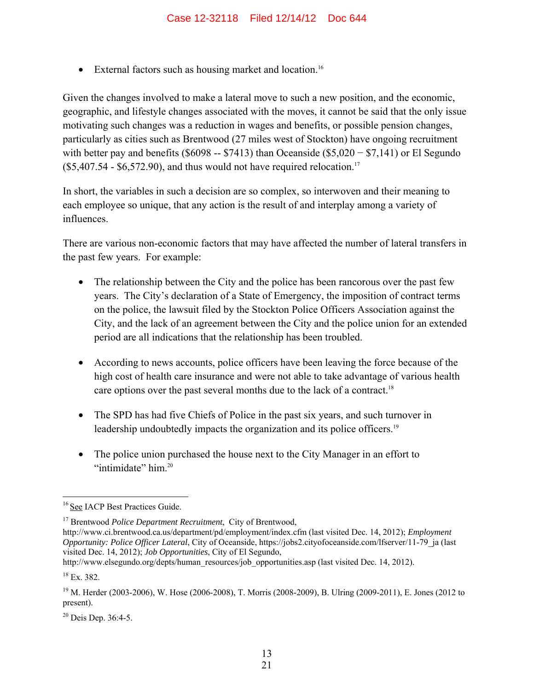• External factors such as housing market and location.<sup>16</sup>

Given the changes involved to make a lateral move to such a new position, and the economic, geographic, and lifestyle changes associated with the moves, it cannot be said that the only issue motivating such changes was a reduction in wages and benefits, or possible pension changes, particularly as cities such as Brentwood (27 miles west of Stockton) have ongoing recruitment with better pay and benefits ( $$6098 - $7413$ ) than Oceanside ( $$5,020 - $7,141$ ) or El Segundo  $($5,407.54 - $6,572.90)$ , and thus would not have required relocation.<sup>17</sup>

In short, the variables in such a decision are so complex, so interwoven and their meaning to each employee so unique, that any action is the result of and interplay among a variety of influences.

There are various non-economic factors that may have affected the number of lateral transfers in the past few years. For example:

- The relationship between the City and the police has been rancorous over the past few years. The City's declaration of a State of Emergency, the imposition of contract terms on the police, the lawsuit filed by the Stockton Police Officers Association against the City, and the lack of an agreement between the City and the police union for an extended period are all indications that the relationship has been troubled.
- According to news accounts, police officers have been leaving the force because of the high cost of health care insurance and were not able to take advantage of various health care options over the past several months due to the lack of a contract.<sup>18</sup>
- The SPD has had five Chiefs of Police in the past six years, and such turnover in leadership undoubtedly impacts the organization and its police officers.<sup>19</sup>
- The police union purchased the house next to the City Manager in an effort to "intimidate" him<sup>20</sup>

 $\overline{a}$ <sup>16</sup> See IACP Best Practices Guide.

<sup>17</sup> Brentwood *Police Department Recruitment*, City of Brentwood,

http://www.ci.brentwood.ca.us/department/pd/employment/index.cfm (last visited Dec. 14, 2012); *Employment Opportunity: Police Officer Lateral*, City of Oceanside, https://jobs2.cityofoceanside.com/lfserver/11-79\_ja (last visited Dec. 14, 2012); *Job Opportunities*, City of El Segundo,

http://www.elsegundo.org/depts/human\_resources/job\_opportunities.asp (last visited Dec. 14, 2012).

 $18$  Ex. 382.

<sup>&</sup>lt;sup>19</sup> M. Herder (2003-2006), W. Hose (2006-2008), T. Morris (2008-2009), B. Ulring (2009-2011), E. Jones (2012 to present).

 $20$  Deis Dep. 36:4-5.

<sup>21</sup>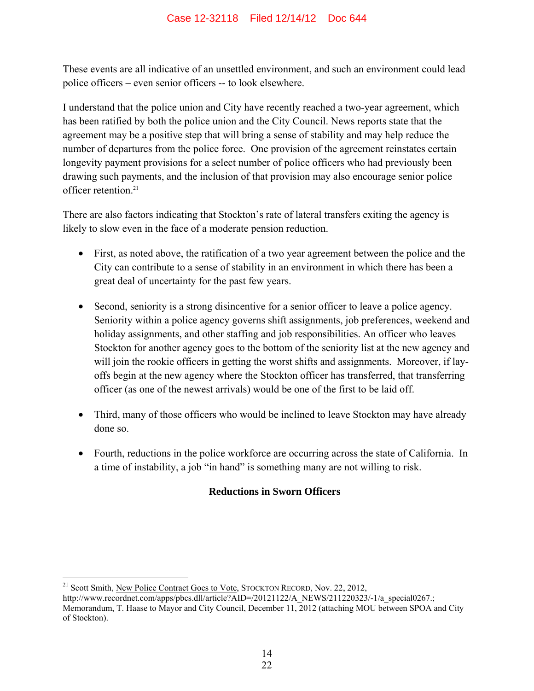These events are all indicative of an unsettled environment, and such an environment could lead police officers – even senior officers -- to look elsewhere.

I understand that the police union and City have recently reached a two-year agreement, which has been ratified by both the police union and the City Council. News reports state that the agreement may be a positive step that will bring a sense of stability and may help reduce the number of departures from the police force. One provision of the agreement reinstates certain longevity payment provisions for a select number of police officers who had previously been drawing such payments, and the inclusion of that provision may also encourage senior police officer retention.<sup>21</sup>

There are also factors indicating that Stockton's rate of lateral transfers exiting the agency is likely to slow even in the face of a moderate pension reduction.

- First, as noted above, the ratification of a two year agreement between the police and the City can contribute to a sense of stability in an environment in which there has been a great deal of uncertainty for the past few years.
- Second, seniority is a strong disincentive for a senior officer to leave a police agency. Seniority within a police agency governs shift assignments, job preferences, weekend and holiday assignments, and other staffing and job responsibilities. An officer who leaves Stockton for another agency goes to the bottom of the seniority list at the new agency and will join the rookie officers in getting the worst shifts and assignments. Moreover, if layoffs begin at the new agency where the Stockton officer has transferred, that transferring officer (as one of the newest arrivals) would be one of the first to be laid off.
- Third, many of those officers who would be inclined to leave Stockton may have already done so.
- Fourth, reductions in the police workforce are occurring across the state of California. In a time of instability, a job "in hand" is something many are not willing to risk.

#### **Reductions in Sworn Officers**

<u>.</u> <sup>21</sup> Scott Smith, New Police Contract Goes to Vote, STOCKTON RECORD, Nov. 22, 2012, http://www.recordnet.com/apps/pbcs.dll/article?AID=/20121122/A\_NEWS/211220323/-1/a\_special0267.; Memorandum, T. Haase to Mayor and City Council, December 11, 2012 (attaching MOU between SPOA and City of Stockton).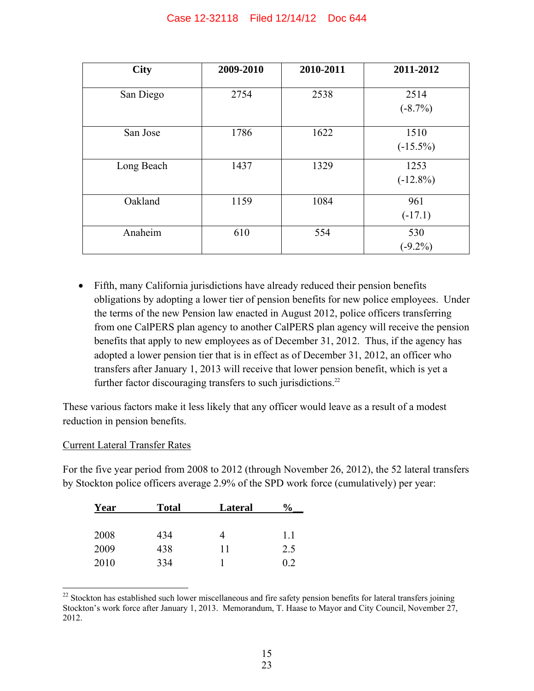| <b>City</b> | 2009-2010 | 2010-2011 | 2011-2012           |
|-------------|-----------|-----------|---------------------|
| San Diego   | 2754      | 2538      | 2514<br>$(-8.7%)$   |
| San Jose    | 1786      | 1622      | 1510<br>$(-15.5\%)$ |
| Long Beach  | 1437      | 1329      | 1253<br>$(-12.8\%)$ |
| Oakland     | 1159      | 1084      | 961<br>$(-17.1)$    |
| Anaheim     | 610       | 554       | 530<br>$(-9.2\%)$   |

• Fifth, many California jurisdictions have already reduced their pension benefits obligations by adopting a lower tier of pension benefits for new police employees. Under the terms of the new Pension law enacted in August 2012, police officers transferring from one CalPERS plan agency to another CalPERS plan agency will receive the pension benefits that apply to new employees as of December 31, 2012. Thus, if the agency has adopted a lower pension tier that is in effect as of December 31, 2012, an officer who transfers after January 1, 2013 will receive that lower pension benefit, which is yet a further factor discouraging transfers to such jurisdictions.<sup>22</sup>

These various factors make it less likely that any officer would leave as a result of a modest reduction in pension benefits.

#### Current Lateral Transfer Rates

For the five year period from 2008 to 2012 (through November 26, 2012), the 52 lateral transfers by Stockton police officers average 2.9% of the SPD work force (cumulatively) per year:

| Year | <b>Total</b> | <b>Lateral</b> | $\%$ |
|------|--------------|----------------|------|
|      |              |                |      |
| 2008 | 434          | 4              | 1.1  |
| 2009 | 438          | 11             | 2.5  |
| 2010 | 334          |                | 02   |

 $\overline{a}$  $22$  Stockton has established such lower miscellaneous and fire safety pension benefits for lateral transfers joining Stockton's work force after January 1, 2013. Memorandum, T. Haase to Mayor and City Council, November 27, 2012.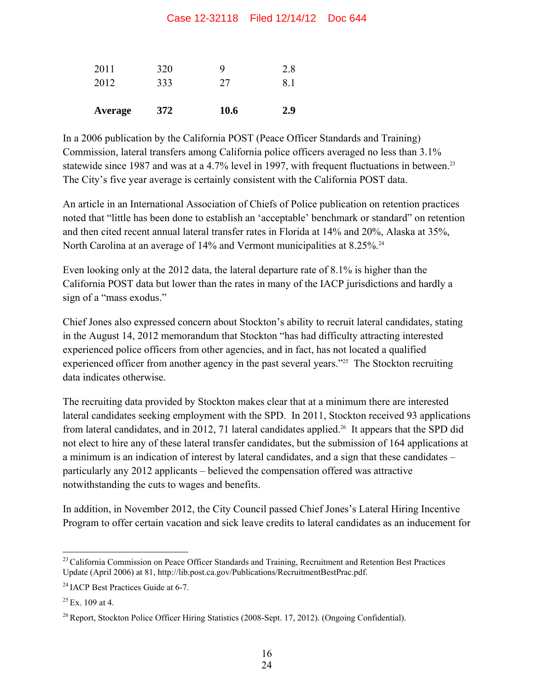#### Case 12-32118 Filed 12/14/12 Doc 644

| Average | 372 | <b>10.6</b> | 2.9 |
|---------|-----|-------------|-----|
| 2012    | 333 | 27          | 81  |
| 2011    | 320 |             | 2.8 |

In a 2006 publication by the California POST (Peace Officer Standards and Training) Commission, lateral transfers among California police officers averaged no less than 3.1% statewide since 1987 and was at a 4.7% level in 1997, with frequent fluctuations in between.<sup>23</sup> The City's five year average is certainly consistent with the California POST data.

An article in an International Association of Chiefs of Police publication on retention practices noted that "little has been done to establish an 'acceptable' benchmark or standard" on retention and then cited recent annual lateral transfer rates in Florida at 14% and 20%, Alaska at 35%, North Carolina at an average of 14% and Vermont municipalities at 8.25%.<sup>24</sup>

Even looking only at the 2012 data, the lateral departure rate of 8.1% is higher than the California POST data but lower than the rates in many of the IACP jurisdictions and hardly a sign of a "mass exodus."

Chief Jones also expressed concern about Stockton's ability to recruit lateral candidates, stating in the August 14, 2012 memorandum that Stockton "has had difficulty attracting interested experienced police officers from other agencies, and in fact, has not located a qualified experienced officer from another agency in the past several years."<sup>25</sup> The Stockton recruiting data indicates otherwise.

The recruiting data provided by Stockton makes clear that at a minimum there are interested lateral candidates seeking employment with the SPD. In 2011, Stockton received 93 applications from lateral candidates, and in 2012, 71 lateral candidates applied.<sup>26</sup> It appears that the SPD did not elect to hire any of these lateral transfer candidates, but the submission of 164 applications at a minimum is an indication of interest by lateral candidates, and a sign that these candidates – particularly any 2012 applicants – believed the compensation offered was attractive notwithstanding the cuts to wages and benefits.

In addition, in November 2012, the City Council passed Chief Jones's Lateral Hiring Incentive Program to offer certain vacation and sick leave credits to lateral candidates as an inducement for

<sup>1</sup> <sup>23</sup> California Commission on Peace Officer Standards and Training, Recruitment and Retention Best Practices Update (April 2006) at 81, http://lib.post.ca.gov/Publications/RecruitmentBestPrac.pdf.

<sup>&</sup>lt;sup>24</sup> IACP Best Practices Guide at 6-7.

 $^{25}$  Ex. 109 at 4.

<sup>&</sup>lt;sup>26</sup> Report, Stockton Police Officer Hiring Statistics (2008-Sept. 17, 2012). (Ongoing Confidential).

<sup>24</sup>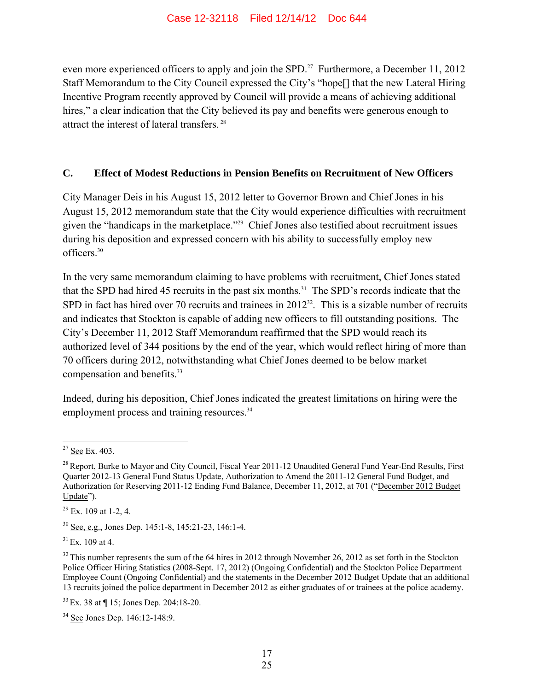even more experienced officers to apply and join the SPD.<sup>27</sup> Furthermore, a December 11, 2012 Staff Memorandum to the City Council expressed the City's "hope[] that the new Lateral Hiring Incentive Program recently approved by Council will provide a means of achieving additional hires," a clear indication that the City believed its pay and benefits were generous enough to attract the interest of lateral transfers. 28

#### **C. Effect of Modest Reductions in Pension Benefits on Recruitment of New Officers**

City Manager Deis in his August 15, 2012 letter to Governor Brown and Chief Jones in his August 15, 2012 memorandum state that the City would experience difficulties with recruitment given the "handicaps in the marketplace."29 Chief Jones also testified about recruitment issues during his deposition and expressed concern with his ability to successfully employ new officers.30

In the very same memorandum claiming to have problems with recruitment, Chief Jones stated that the SPD had hired 45 recruits in the past six months.31 The SPD's records indicate that the SPD in fact has hired over 70 recruits and trainees in  $2012^{32}$ . This is a sizable number of recruits and indicates that Stockton is capable of adding new officers to fill outstanding positions. The City's December 11, 2012 Staff Memorandum reaffirmed that the SPD would reach its authorized level of 344 positions by the end of the year, which would reflect hiring of more than 70 officers during 2012, notwithstanding what Chief Jones deemed to be below market compensation and benefits.<sup>33</sup>

Indeed, during his deposition, Chief Jones indicated the greatest limitations on hiring were the employment process and training resources.<sup>34</sup>

30 See, e.g., Jones Dep. 145:1-8, 145:21-23, 146:1-4.

 $31$  Ex. 109 at 4.

33 Ex. 38 at ¶ 15; Jones Dep. 204:18-20.

34 See Jones Dep. 146:12-148:9.

 $\overline{a}$ <sup>27</sup> See Ex. 403.

<sup>&</sup>lt;sup>28</sup> Report, Burke to Mayor and City Council, Fiscal Year 2011-12 Unaudited General Fund Year-End Results, First Quarter 2012-13 General Fund Status Update, Authorization to Amend the 2011-12 General Fund Budget, and Authorization for Reserving 2011-12 Ending Fund Balance, December 11, 2012, at 701 ("December 2012 Budget Update").

 $29$  Ex. 109 at 1-2, 4.

 $32$  This number represents the sum of the 64 hires in 2012 through November 26, 2012 as set forth in the Stockton Police Officer Hiring Statistics (2008-Sept. 17, 2012) (Ongoing Confidential) and the Stockton Police Department Employee Count (Ongoing Confidential) and the statements in the December 2012 Budget Update that an additional 13 recruits joined the police department in December 2012 as either graduates of or trainees at the police academy.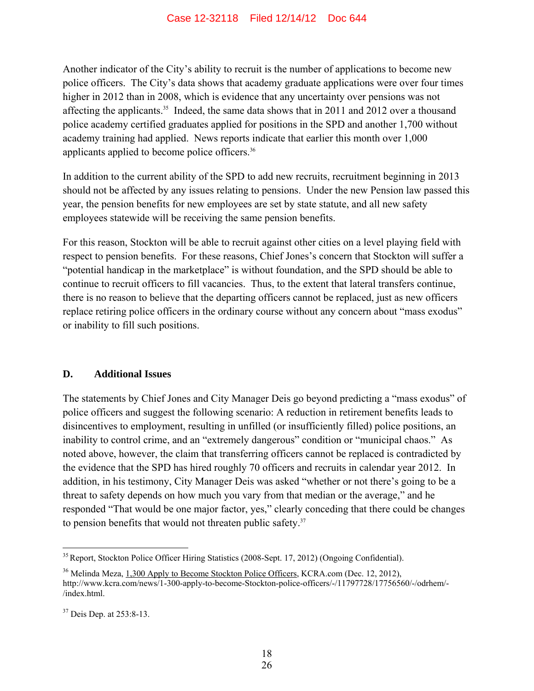Another indicator of the City's ability to recruit is the number of applications to become new police officers. The City's data shows that academy graduate applications were over four times higher in 2012 than in 2008, which is evidence that any uncertainty over pensions was not affecting the applicants.<sup>35</sup> Indeed, the same data shows that in 2011 and 2012 over a thousand police academy certified graduates applied for positions in the SPD and another 1,700 without academy training had applied. News reports indicate that earlier this month over 1,000 applicants applied to become police officers.36

In addition to the current ability of the SPD to add new recruits, recruitment beginning in 2013 should not be affected by any issues relating to pensions. Under the new Pension law passed this year, the pension benefits for new employees are set by state statute, and all new safety employees statewide will be receiving the same pension benefits.

For this reason, Stockton will be able to recruit against other cities on a level playing field with respect to pension benefits. For these reasons, Chief Jones's concern that Stockton will suffer a "potential handicap in the marketplace" is without foundation, and the SPD should be able to continue to recruit officers to fill vacancies. Thus, to the extent that lateral transfers continue, there is no reason to believe that the departing officers cannot be replaced, just as new officers replace retiring police officers in the ordinary course without any concern about "mass exodus" or inability to fill such positions.

#### **D. Additional Issues**

The statements by Chief Jones and City Manager Deis go beyond predicting a "mass exodus" of police officers and suggest the following scenario: A reduction in retirement benefits leads to disincentives to employment, resulting in unfilled (or insufficiently filled) police positions, an inability to control crime, and an "extremely dangerous" condition or "municipal chaos." As noted above, however, the claim that transferring officers cannot be replaced is contradicted by the evidence that the SPD has hired roughly 70 officers and recruits in calendar year 2012. In addition, in his testimony, City Manager Deis was asked "whether or not there's going to be a threat to safety depends on how much you vary from that median or the average," and he responded "That would be one major factor, yes," clearly conceding that there could be changes to pension benefits that would not threaten public safety.<sup>37</sup>

 $\overline{a}$ 

<sup>&</sup>lt;sup>35</sup> Report, Stockton Police Officer Hiring Statistics (2008-Sept. 17, 2012) (Ongoing Confidential).

<sup>&</sup>lt;sup>36</sup> Melinda Meza, 1,300 Apply to Become Stockton Police Officers, KCRA.com (Dec. 12, 2012), http://www.kcra.com/news/1-300-apply-to-become-Stockton-police-officers/-/11797728/17756560/-/odrhem/- /index.html.

<sup>&</sup>lt;sup>37</sup> Deis Dep. at 253:8-13.

<sup>26</sup>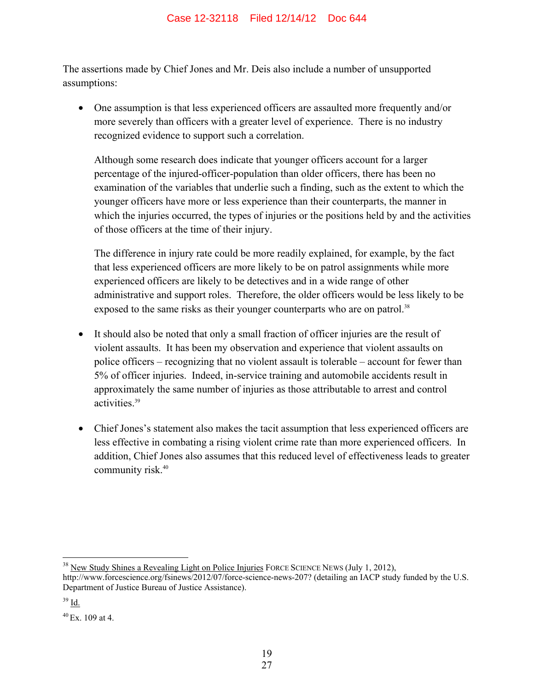The assertions made by Chief Jones and Mr. Deis also include a number of unsupported assumptions:

• One assumption is that less experienced officers are assaulted more frequently and/or more severely than officers with a greater level of experience. There is no industry recognized evidence to support such a correlation.

Although some research does indicate that younger officers account for a larger percentage of the injured-officer-population than older officers, there has been no examination of the variables that underlie such a finding, such as the extent to which the younger officers have more or less experience than their counterparts, the manner in which the injuries occurred, the types of injuries or the positions held by and the activities of those officers at the time of their injury.

The difference in injury rate could be more readily explained, for example, by the fact that less experienced officers are more likely to be on patrol assignments while more experienced officers are likely to be detectives and in a wide range of other administrative and support roles. Therefore, the older officers would be less likely to be exposed to the same risks as their younger counterparts who are on patrol.<sup>38</sup>

- It should also be noted that only a small fraction of officer injuries are the result of violent assaults. It has been my observation and experience that violent assaults on police officers – recognizing that no violent assault is tolerable – account for fewer than 5% of officer injuries. Indeed, in-service training and automobile accidents result in approximately the same number of injuries as those attributable to arrest and control activities.39
- Chief Jones's statement also makes the tacit assumption that less experienced officers are less effective in combating a rising violent crime rate than more experienced officers. In addition, Chief Jones also assumes that this reduced level of effectiveness leads to greater community risk.<sup>40</sup>

 $\overline{a}$ 

<sup>&</sup>lt;sup>38</sup> New Study Shines a Revealing Light on Police Injuries FORCE SCIENCE NEWS (July 1, 2012),

http://www.forcescience.org/fsinews/2012/07/force-science-news-207? (detailing an IACP study funded by the U.S. Department of Justice Bureau of Justice Assistance).

<sup>39</sup> Id.

 $40 \text{ Ex } 109$  at 4.

<sup>27</sup>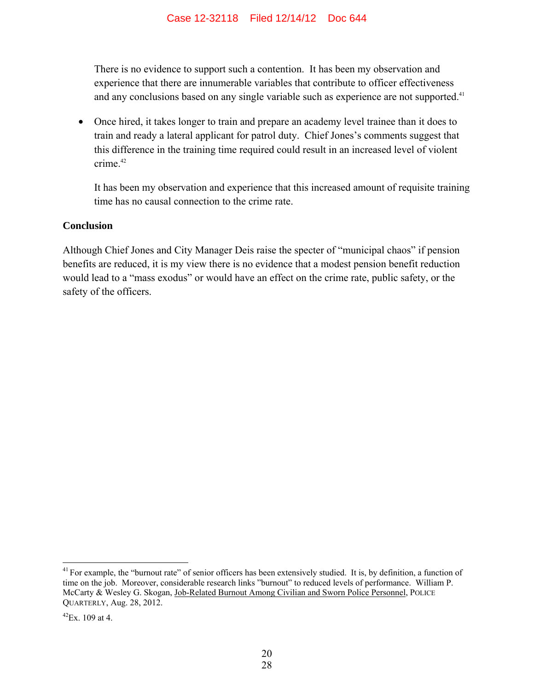There is no evidence to support such a contention. It has been my observation and experience that there are innumerable variables that contribute to officer effectiveness and any conclusions based on any single variable such as experience are not supported.<sup>41</sup>

• Once hired, it takes longer to train and prepare an academy level trainee than it does to train and ready a lateral applicant for patrol duty. Chief Jones's comments suggest that this difference in the training time required could result in an increased level of violent crime<sup>42</sup>

It has been my observation and experience that this increased amount of requisite training time has no causal connection to the crime rate.

#### **Conclusion**

Although Chief Jones and City Manager Deis raise the specter of "municipal chaos" if pension benefits are reduced, it is my view there is no evidence that a modest pension benefit reduction would lead to a "mass exodus" or would have an effect on the crime rate, public safety, or the safety of the officers.

 $\overline{a}$ 

 $41$  For example, the "burnout rate" of senior officers has been extensively studied. It is, by definition, a function of time on the job. Moreover, considerable research links "burnout" to reduced levels of performance. William P. McCarty & Wesley G. Skogan, Job-Related Burnout Among Civilian and Sworn Police Personnel, POLICE QUARTERLY, Aug. 28, 2012.

 $^{42}$ Ex 109 at 4.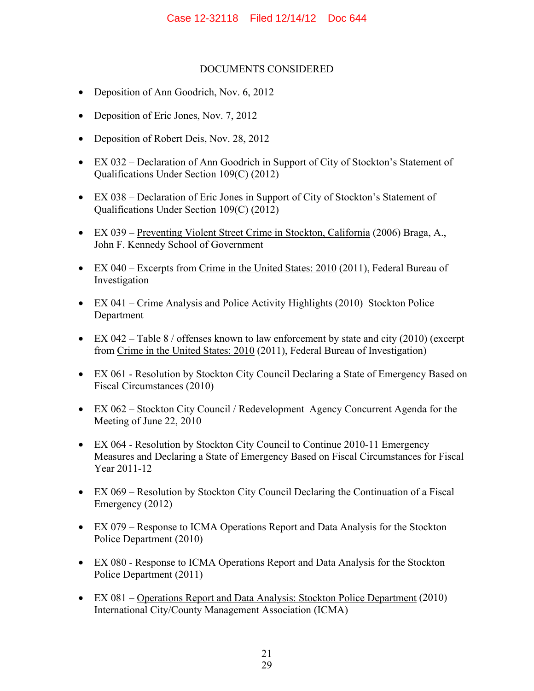#### DOCUMENTS CONSIDERED

- Deposition of Ann Goodrich, Nov. 6, 2012
- Deposition of Eric Jones, Nov. 7, 2012
- Deposition of Robert Deis, Nov. 28, 2012
- EX 032 Declaration of Ann Goodrich in Support of City of Stockton's Statement of Qualifications Under Section 109(C) (2012)
- EX 038 Declaration of Eric Jones in Support of City of Stockton's Statement of Qualifications Under Section 109(C) (2012)
- EX 039 Preventing Violent Street Crime in Stockton, California (2006) Braga, A., John F. Kennedy School of Government
- EX 040 Excerpts from Crime in the United States: 2010 (2011), Federal Bureau of Investigation
- EX 041 Crime Analysis and Police Activity Highlights (2010) Stockton Police Department
- EX 042 Table 8 / offenses known to law enforcement by state and city (2010) (excerpt from Crime in the United States: 2010 (2011), Federal Bureau of Investigation)
- EX 061 Resolution by Stockton City Council Declaring a State of Emergency Based on Fiscal Circumstances (2010)
- EX 062 Stockton City Council / Redevelopment Agency Concurrent Agenda for the Meeting of June 22, 2010
- EX 064 Resolution by Stockton City Council to Continue 2010-11 Emergency Measures and Declaring a State of Emergency Based on Fiscal Circumstances for Fiscal Year 2011-12
- EX 069 Resolution by Stockton City Council Declaring the Continuation of a Fiscal Emergency (2012)
- EX 079 Response to ICMA Operations Report and Data Analysis for the Stockton Police Department (2010)
- EX 080 Response to ICMA Operations Report and Data Analysis for the Stockton Police Department (2011)
- EX 081 Operations Report and Data Analysis: Stockton Police Department (2010) International City/County Management Association (ICMA)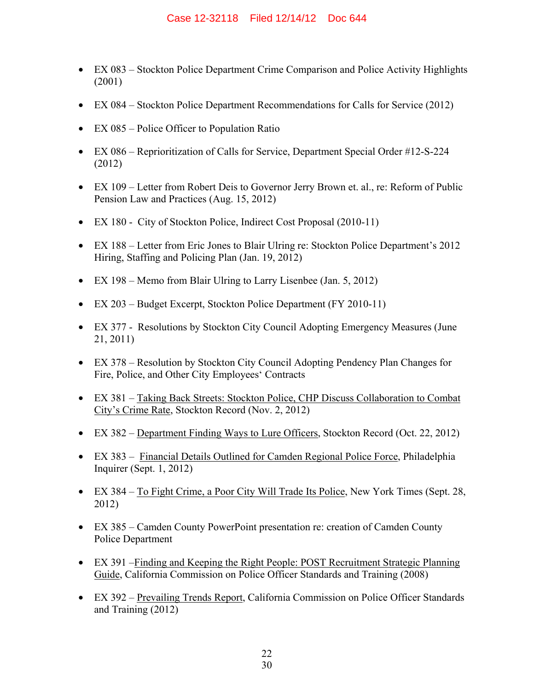- EX 083 Stockton Police Department Crime Comparison and Police Activity Highlights (2001)
- EX 084 Stockton Police Department Recommendations for Calls for Service (2012)
- EX 085 Police Officer to Population Ratio
- EX 086 Reprioritization of Calls for Service, Department Special Order #12-S-224 (2012)
- EX 109 Letter from Robert Deis to Governor Jerry Brown et. al., re: Reform of Public Pension Law and Practices (Aug. 15, 2012)
- EX 180 City of Stockton Police, Indirect Cost Proposal (2010-11)
- EX 188 Letter from Eric Jones to Blair Ulring re: Stockton Police Department's 2012 Hiring, Staffing and Policing Plan (Jan. 19, 2012)
- EX 198 Memo from Blair Ulring to Larry Lisenbee (Jan. 5, 2012)
- EX 203 Budget Excerpt, Stockton Police Department (FY 2010-11)
- EX 377 Resolutions by Stockton City Council Adopting Emergency Measures (June 21, 2011)
- EX 378 Resolution by Stockton City Council Adopting Pendency Plan Changes for Fire, Police, and Other City Employees' Contracts
- EX 381 Taking Back Streets: Stockton Police, CHP Discuss Collaboration to Combat City's Crime Rate, Stockton Record (Nov. 2, 2012)
- EX 382 Department Finding Ways to Lure Officers, Stockton Record (Oct. 22, 2012)
- EX 383 Financial Details Outlined for Camden Regional Police Force, Philadelphia Inquirer (Sept. 1, 2012)
- EX 384 To Fight Crime, a Poor City Will Trade Its Police, New York Times (Sept. 28, 2012)
- EX 385 Camden County PowerPoint presentation re: creation of Camden County Police Department
- EX 391 –Finding and Keeping the Right People: POST Recruitment Strategic Planning Guide, California Commission on Police Officer Standards and Training (2008)
- EX 392 Prevailing Trends Report, California Commission on Police Officer Standards and Training (2012)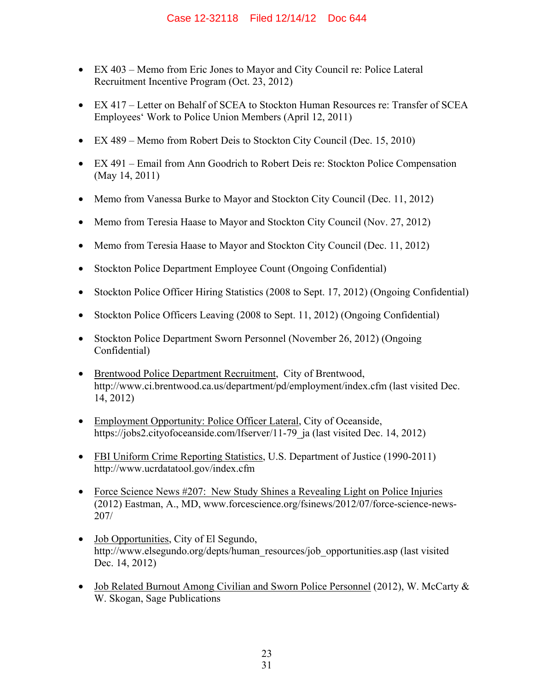- EX 403 Memo from Eric Jones to Mayor and City Council re: Police Lateral Recruitment Incentive Program (Oct. 23, 2012)
- EX 417 Letter on Behalf of SCEA to Stockton Human Resources re: Transfer of SCEA Employees' Work to Police Union Members (April 12, 2011)
- EX 489 Memo from Robert Deis to Stockton City Council (Dec. 15, 2010)
- EX 491 Email from Ann Goodrich to Robert Deis re: Stockton Police Compensation (May 14, 2011)
- Memo from Vanessa Burke to Mayor and Stockton City Council (Dec. 11, 2012)
- Memo from Teresia Haase to Mayor and Stockton City Council (Nov. 27, 2012)
- Memo from Teresia Haase to Mayor and Stockton City Council (Dec. 11, 2012)
- Stockton Police Department Employee Count (Ongoing Confidential)
- Stockton Police Officer Hiring Statistics (2008 to Sept. 17, 2012) (Ongoing Confidential)
- Stockton Police Officers Leaving (2008 to Sept. 11, 2012) (Ongoing Confidential)
- Stockton Police Department Sworn Personnel (November 26, 2012) (Ongoing Confidential)
- Brentwood Police Department Recruitment, City of Brentwood, http://www.ci.brentwood.ca.us/department/pd/employment/index.cfm (last visited Dec. 14, 2012)
- Employment Opportunity: Police Officer Lateral, City of Oceanside, https://jobs2.cityofoceanside.com/lfserver/11-79\_ja (last visited Dec. 14, 2012)
- FBI Uniform Crime Reporting Statistics, U.S. Department of Justice (1990-2011) http://www.ucrdatatool.gov/index.cfm
- Force Science News #207: New Study Shines a Revealing Light on Police Injuries (2012) Eastman, A., MD, www.forcescience.org/fsinews/2012/07/force-science-news-207/
- Job Opportunities, City of El Segundo, http://www.elsegundo.org/depts/human\_resources/job\_opportunities.asp (last visited Dec. 14, 2012)
- Job Related Burnout Among Civilian and Sworn Police Personnel (2012), W. McCarty & W. Skogan, Sage Publications